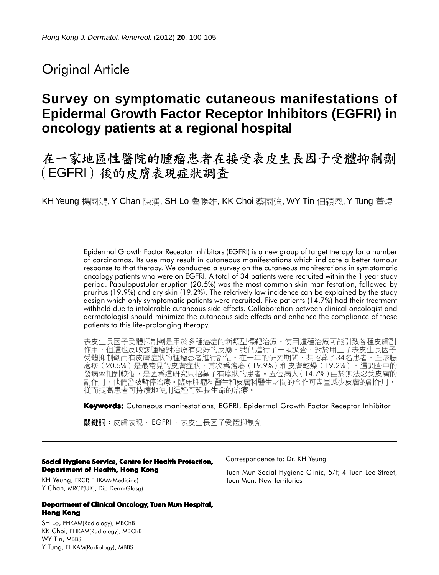# Original Article

# **Survey on symptomatic cutaneous manifestations of Epidermal Growth Factor Receptor Inhibitors (EGFRI) in oncology patients at a regional hospital**

# 在一家地區性醫院的腫瘤患者在接受表皮生長因子受體抑制劑 (EGFRI) 後的皮膚表現症狀調查

KH Yeung 楊國鴻, Y Chan 陳湧, SH Lo 魯勝雄, KK Choi 蔡國強, WY Tin 佃穎恩, Y Tung 董煜

Epidermal Growth Factor Receptor Inhibitors (EGFRI) is a new group of target therapy for a number of carcinomas. Its use may result in cutaneous manifestations which indicate a better tumour response to that therapy. We conducted a survey on the cutaneous manifestations in symptomatic oncology patients who were on EGFRI. A total of 34 patients were recruited within the 1 year study period. Papulopustular eruption (20.5%) was the most common skin manifestation, followed by pruritus (19.9%) and dry skin (19.2%). The relatively low incidence can be explained by the study design which only symptomatic patients were recruited. Five patients (14.7%) had their treatment withheld due to intolerable cutaneous side effects. Collaboration between clinical oncologist and dermatologist should minimize the cutaneous side effects and enhance the compliance of these patients to this life-prolonging therapy.

表皮生長因子受體抑制劑是用於多種癌症的新類型標靶治療。使用這種治療可能引致各種皮膚副 作用,但這也反映該腫瘤對治療有更好的反應。我們進行了一項調查,對於用上了表皮生長因子 受體抑制劑而有皮膚症狀的腫瘤患者進行評估。在一年的研究期間,共招募了34名患者。丘疹膿 庖疹 (20.5%) 是最常見的皮膚症狀, 其次為瘙癢 (19.9%) 和皮膚乾燥 (19.2%) 。這調查中的 發病率相對較低,是因爲這研究只招募了有癥狀的患者。五位病人(14.7%)由於無法忍受皮膚的<br>副作用,他們曾被暫停治療。臨床腫瘤科醫生和皮膚科醫生之間的合作可盡量減少皮膚的副作用, 從而提高患者可持續地使用這種可延長生命的治療。

**Keywords:** Cutaneous manifestations, EGFRI, Epidermal Growth Factor Receptor Inhibitor

關鍵詞:皮膚表現, EGFRI, 表皮生長因子受體抑制劑

#### **Social Hygiene Service, Centre for Health Protection, Department of Health, Hong Kong**

KH Yeung, FRCP, FHKAM(Medicine) Y Chan, MRCP(UK), Dip Derm(Glasg)

#### **Department of Clinical Oncology, Tuen Mun Hospital, Hong Kong**

SH Lo, FHKAM(Radiology), MBChB KK Choi, FHKAM(Radiology), MBChB WY Tin, MBBS Y Tung, FHKAM(Radiology), MBBS

Correspondence to: Dr. KH Yeung

Tuen Mun Social Hygiene Clinic, 5/F, 4 Tuen Lee Street, Tuen Mun, New Territories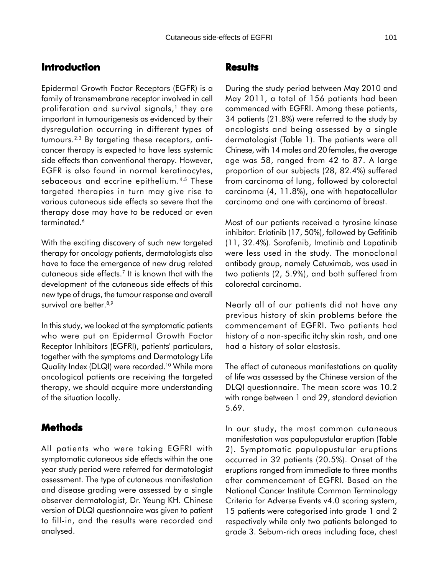### **Introduction**

Epidermal Growth Factor Receptors (EGFR) is a family of transmembrane receptor involved in cell proliferation and survival signals, $<sup>1</sup>$  they are</sup> important in tumourigenesis as evidenced by their dysregulation occurring in different types of tumours.2,3 By targeting these receptors, anticancer therapy is expected to have less systemic side effects than conventional therapy. However, EGFR is also found in normal keratinocytes, sebaceous and eccrine epithelium.<sup>4,5</sup> These targeted therapies in turn may give rise to various cutaneous side effects so severe that the therapy dose may have to be reduced or even terminated.<sup>6</sup>

With the exciting discovery of such new targeted therapy for oncology patients, dermatologists also have to face the emergence of new drug related cutaneous side effects.7 It is known that with the development of the cutaneous side effects of this new type of drugs, the tumour response and overall survival are better.<sup>8,9</sup>

In this study, we looked at the symptomatic patients who were put on Epidermal Growth Factor Receptor Inhibitors (EGFRI), patients' particulars, together with the symptoms and Dermatology Life Quality Index (DLQI) were recorded.<sup>10</sup> While more oncological patients are receiving the targeted therapy, we should acquire more understanding of the situation locally.

## **Methods**

All patients who were taking EGFRI with symptomatic cutaneous side effects within the one year study period were referred for dermatologist assessment. The type of cutaneous manifestation and disease grading were assessed by a single observer dermatologist, Dr. Yeung KH. Chinese version of DLQI questionnaire was given to patient to fill-in, and the results were recorded and analysed.

#### **Results**

During the study period between May 2010 and May 2011, a total of 156 patients had been commenced with EGFRI. Among these patients, 34 patients (21.8%) were referred to the study by oncologists and being assessed by a single dermatologist (Table 1). The patients were all Chinese, with 14 males and 20 females, the average age was 58, ranged from 42 to 87. A large proportion of our subjects (28, 82.4%) suffered from carcinoma of lung, followed by colorectal carcinoma (4, 11.8%), one with hepatocellular carcinoma and one with carcinoma of breast.

Most of our patients received a tyrosine kinase inhibitor: Erlotinib (17, 50%), followed by Gefitinib (11, 32.4%). Sorafenib, Imatinib and Lapatinib were less used in the study. The monoclonal antibody group, namely Cetuximab, was used in two patients (2, 5.9%), and both suffered from colorectal carcinoma.

Nearly all of our patients did not have any previous history of skin problems before the commencement of EGFRI. Two patients had history of a non-specific itchy skin rash, and one had a history of solar elastosis.

The effect of cutaneous manifestations on quality of life was assessed by the Chinese version of the DLQI questionnaire. The mean score was 10.2 with range between 1 and 29, standard deviation 5.69.

In our study, the most common cutaneous manifestation was papulopustular eruption (Table 2). Symptomatic papulopustular eruptions occurred in 32 patients (20.5%). Onset of the eruptions ranged from immediate to three months after commencement of EGFRI. Based on the National Cancer Institute Common Terminology Criteria for Adverse Events v4.0 scoring system, 15 patients were categorised into grade 1 and 2 respectively while only two patients belonged to grade 3. Sebum-rich areas including face, chest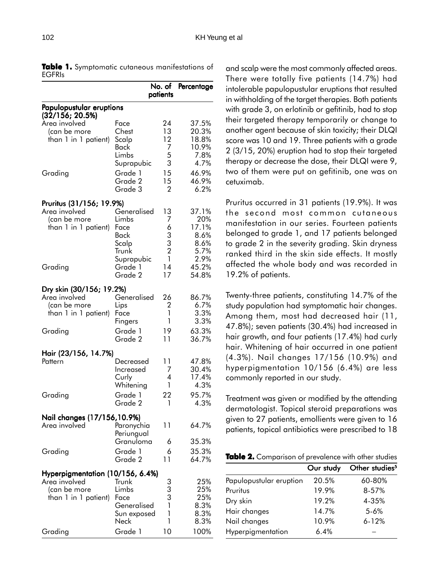|                                                                                              | patients                                                                                   |                                                                      | No. of Percentage                                                       |  |
|----------------------------------------------------------------------------------------------|--------------------------------------------------------------------------------------------|----------------------------------------------------------------------|-------------------------------------------------------------------------|--|
| Papulopustular eruptions                                                                     |                                                                                            |                                                                      |                                                                         |  |
| (32/156; 20.5%)<br>Area involved<br>(can be more<br>than 1 in 1 patient)                     | Face<br>Chest<br>Scalp<br>Back                                                             | 24<br>13<br>12<br>7                                                  | 37.5%<br>20.3%<br>18.8%<br>10.9%                                        |  |
| Grading                                                                                      | Limbs<br>Suprapubic<br>Grade 1<br>Grade 2<br>Grade 3                                       | 5<br>3<br>15<br>15<br>2                                              | 7.8%<br>4.7%<br>46.9%<br>46.9%<br>6.2%                                  |  |
| Pruritus (31/156; 19.9%)<br>Area involved<br>(can be more<br>than 1 in 1 patient)<br>Grading | Generalised<br>Limbs<br>Face<br>Back<br>Scalp<br>Trunk<br>Suprapubic<br>Grade 1<br>Grade 2 | 13<br>7<br>6<br>3<br>3<br>$\overline{2}$<br>$\mathbf{1}$<br>14<br>17 | 37.1%<br>20%<br>17.1%<br>8.6%<br>8.6%<br>5.7%<br>2.9%<br>45.2%<br>54.8% |  |
| Dry skin (30/156; 19.2%)<br>Area involved<br>(can be more<br>than 1 in 1 patient)            | Generalised<br>Lips<br>Face<br>Fingers                                                     | 26<br>2<br>1<br>1                                                    | 86.7%<br>6.7%<br>3.3%<br>3.3%                                           |  |
| Grading                                                                                      | Grade 1<br>Grade 2                                                                         | 19<br>11                                                             | 63.3%<br>36.7%                                                          |  |
| Hair (23/156, 14.7%)<br>Pattern<br>Grading                                                   | Decreased<br>Increased<br>Curly<br>Whitening<br>Grade 1<br>Grade 2                         | 11<br>7<br>4<br>1<br>22<br>1                                         | 47.8%<br>30.4%<br>17.4%<br>4.3%<br>95.7%<br>4.3%                        |  |
| Nail changes (17/156,10.9%)<br>Area involved                                                 | Paronychia<br>Periungual<br>Granuloma                                                      | 11<br>6                                                              | 64.7%<br>35.3%                                                          |  |
| Grading                                                                                      | Grade 1<br>Grade 2                                                                         | 6<br>11                                                              | 35.3%<br>64.7%                                                          |  |
| Hyperpigmentation (10/156, 6.4%)<br>Area involved<br>(can be more<br>than 1 in 1 patient)    | Trunk<br>Limbs<br>Face<br>Generalised<br>Sun exposed<br>Neck                               | 3<br>3<br>3<br>1<br>$\mathbf{1}$<br>1                                | 25%<br>25%<br>25%<br>8.3%<br>8.3%<br>8.3%                               |  |
| Grading                                                                                      | Grade 1                                                                                    | 10                                                                   | 100%                                                                    |  |

**Table 1.** Symptomatic cutaneous manifestations of EGFRIs

and scalp were the most commonly affected areas. There were totally five patients (14.7%) had intolerable papulopustular eruptions that resulted in withholding of the target therapies. Both patients with grade 3, on erlotinib or gefitinib, had to stop their targeted therapy temporarily or change to another agent because of skin toxicity; their DLQI score was 10 and 19. Three patients with a grade 2 (3/15, 20%) eruption had to stop their targeted therapy or decrease the dose, their DLQI were 9, two of them were put on gefitinib, one was on cetuximab.

Pruritus occurred in 31 patients (19.9%). It was the second most common cutaneous manifestation in our series. Fourteen patients belonged to grade 1, and 17 patients belonged to grade 2 in the severity grading. Skin dryness ranked third in the skin side effects. It mostly affected the whole body and was recorded in 19.2% of patients.

Twenty-three patients, constituting 14.7% of the study population had symptomatic hair changes. Among them, most had decreased hair (11, 47.8%); seven patients (30.4%) had increased in hair growth, and four patients (17.4%) had curly hair. Whitening of hair occurred in one patient (4.3%). Nail changes 17/156 (10.9%) and hyperpigmentation 10/156 (6.4%) are less commonly reported in our study.

Treatment was given or modified by the attending dermatologist. Topical steroid preparations was given to 27 patients, emollients were given to 16 patients, topical antibiotics were prescribed to 18

|  |  | Table 2. Comparison of prevalence with other studies |  |  |
|--|--|------------------------------------------------------|--|--|
|--|--|------------------------------------------------------|--|--|

|                         | Our study | Other studies <sup>5</sup> |
|-------------------------|-----------|----------------------------|
| Papulopustular eruption | 20.5%     | 60-80%                     |
| Pruritus                | 19.9%     | 8-57%                      |
| Dry skin                | 19.2%     | 4-35%                      |
| Hair changes            | 14.7%     | $5 - 6%$                   |
| Nail changes            | 10.9%     | $6 - 12%$                  |
| Hyperpigmentation       | 6.4%      |                            |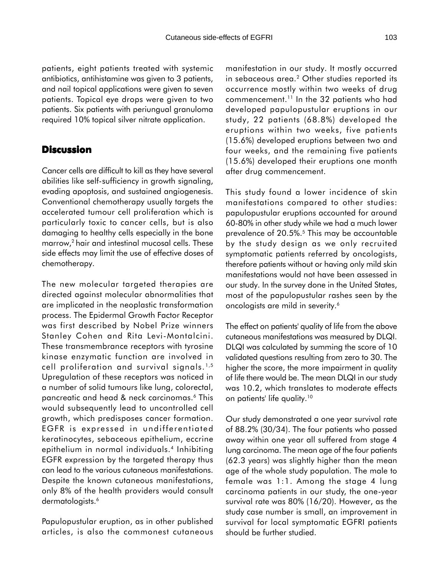patients, eight patients treated with systemic antibiotics, antihistamine was given to 3 patients, and nail topical applications were given to seven patients. Topical eye drops were given to two patients. Six patients with periungual granuloma required 10% topical silver nitrate application.

### **Discussion**

Cancer cells are difficult to kill as they have several abilities like self-sufficiency in growth signaling, evading apoptosis, and sustained angiogenesis. Conventional chemotherapy usually targets the accelerated tumour cell proliferation which is particularly toxic to cancer cells, but is also damaging to healthy cells especially in the bone marrow,2 hair and intestinal mucosal cells. These side effects may limit the use of effective doses of chemotherapy.

The new molecular targeted therapies are directed against molecular abnormalities that are implicated in the neoplastic transformation process. The Epidermal Growth Factor Receptor was first described by Nobel Prize winners Stanley Cohen and Rita Levi-Montalcini. These transmembrance receptors with tyrosine kinase enzymatic function are involved in cell proliferation and survival signals.<sup>1,5</sup> Upregulation of these receptors was noticed in a number of solid tumours like lung, colorectal, pancreatic and head & neck carcinomas.6 This would subsequently lead to uncontrolled cell growth, which predisposes cancer formation. EGFR is expressed in undifferentiated keratinocytes, sebaceous epithelium, eccrine epithelium in normal individuals.4 Inhibiting EGFR expression by the targeted therapy thus can lead to the various cutaneous manifestations. Despite the known cutaneous manifestations, only 8% of the health providers would consult dermatologists.<sup>6</sup>

Papulopustular eruption, as in other published articles, is also the commonest cutaneous

manifestation in our study. It mostly occurred in sebaceous area.<sup>2</sup> Other studies reported its occurrence mostly within two weeks of drug commencement.11 In the 32 patients who had developed papulopustular eruptions in our study, 22 patients (68.8%) developed the eruptions within two weeks, five patients (15.6%) developed eruptions between two and four weeks, and the remaining five patients (15.6%) developed their eruptions one month after drug commencement.

This study found a lower incidence of skin manifestations compared to other studies: papulopustular eruptions accounted for around 60-80% in other study while we had a much lower prevalence of 20.5%.<sup>5</sup> This may be accountable by the study design as we only recruited symptomatic patients referred by oncologists, therefore patients without or having only mild skin manifestations would not have been assessed in our study. In the survey done in the United States, most of the papulopustular rashes seen by the oncologists are mild in severity.<sup>6</sup>

The effect on patients' quality of life from the above cutaneous manifestations was measured by DLQI. DLQI was calculated by summing the score of 10 validated questions resulting from zero to 30. The higher the score, the more impairment in quality of life there would be. The mean DLQI in our study was 10.2, which translates to moderate effects on patients' life quality.10

Our study demonstrated a one year survival rate of 88.2% (30/34). The four patients who passed away within one year all suffered from stage 4 lung carcinoma. The mean age of the four patients (62.3 years) was slightly higher than the mean age of the whole study population. The male to female was 1:1. Among the stage 4 lung carcinoma patients in our study, the one-year survival rate was 80% (16/20). However, as the study case number is small, an improvement in survival for local symptomatic EGFRI patients should be further studied.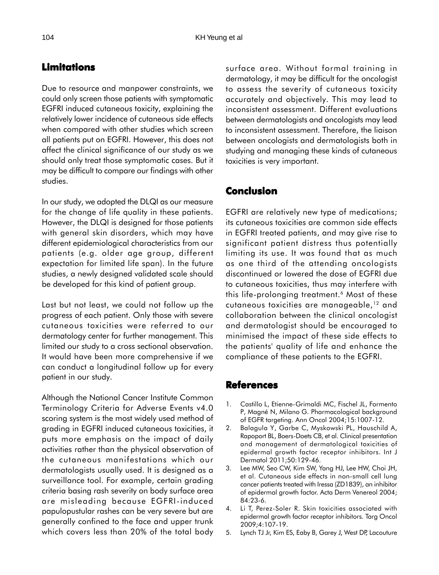## **Limitations**

Due to resource and manpower constraints, we could only screen those patients with symptomatic EGFRI induced cutaneous toxicity, explaining the relatively lower incidence of cutaneous side effects when compared with other studies which screen all patients put on EGFRI. However, this does not affect the clinical significance of our study as we should only treat those symptomatic cases. But it may be difficult to compare our findings with other studies.

In our study, we adopted the DLQI as our measure for the change of life quality in these patients. However, the DLQI is designed for those patients with general skin disorders, which may have different epidemiological characteristics from our patients (e.g. older age group, different expectation for limited life span). In the future studies, a newly designed validated scale should be developed for this kind of patient group.

Last but not least, we could not follow up the progress of each patient. Only those with severe cutaneous toxicities were referred to our dermatology center for further management. This limited our study to a cross sectional observation. It would have been more comprehensive if we can conduct a longitudinal follow up for every patient in our study.

Although the National Cancer Institute Common Terminology Criteria for Adverse Events v4.0 scoring system is the most widely used method of grading in EGFRI induced cutaneous toxicities, it puts more emphasis on the impact of daily activities rather than the physical observation of the cutaneous manifestations which our dermatologists usually used. It is designed as a surveillance tool. For example, certain grading criteria basing rash severity on body surface area are misleading because EGFRI-induced papulopustular rashes can be very severe but are generally confined to the face and upper trunk which covers less than 20% of the total body surface area. Without formal training in dermatology, it may be difficult for the oncologist to assess the severity of cutaneous toxicity accurately and objectively. This may lead to inconsistent assessment. Different evaluations between dermatologists and oncologists may lead to inconsistent assessment. Therefore, the liaison between oncologists and dermatologists both in studying and managing these kinds of cutaneous toxicities is very important.

### **Conclusion**

EGFRI are relatively new type of medications; its cutaneous toxicities are common side effects in EGFRI treated patients, and may give rise to significant patient distress thus potentially limiting its use. It was found that as much as one third of the attending oncologists discontinued or lowered the dose of EGFRI due to cutaneous toxicities, thus may interfere with this life-prolonging treatment.<sup>6</sup> Most of these cutaneous toxicities are manageable,12 and collaboration between the clinical oncologist and dermatologist should be encouraged to minimised the impact of these side effects to the patients' quality of life and enhance the compliance of these patients to the EGFRI.

#### **References**

- 1. Castillo L, Etienne-Grimaldi MC, Fischel JL, Formento P, Magné N, Milano G. Pharmacological background of EGFR targeting. Ann Oncol 2004;15:1007-12.
- 2. Balagula Y, Garbe C, Myskowski PL, Hauschild A, Rapoport BL, Boers-Doets CB, et al. Clinical presentation and management of dermatological toxicities of epidermal growth factor receptor inhibitors. Int J Dermatol 2011;50:129-46.
- 3. Lee MW, Seo CW, Kim SW, Yang HJ, Lee HW, Choi JH, et al. Cutaneous side effects in non-small cell lung cancer patients treated with Iressa (ZD1839), an inhibitor of epidermal growth factor. Acta Derm Venereol 2004; 84:23-6.
- 4. Li T, Perez-Soler R. Skin toxicities associated with epidermal growth factor receptor inhibitors. Targ Oncol 2009;4:107-19.
- 5. Lynch TJ Jr, Kim ES, Eaby B, Garey J, West DP, Lacouture